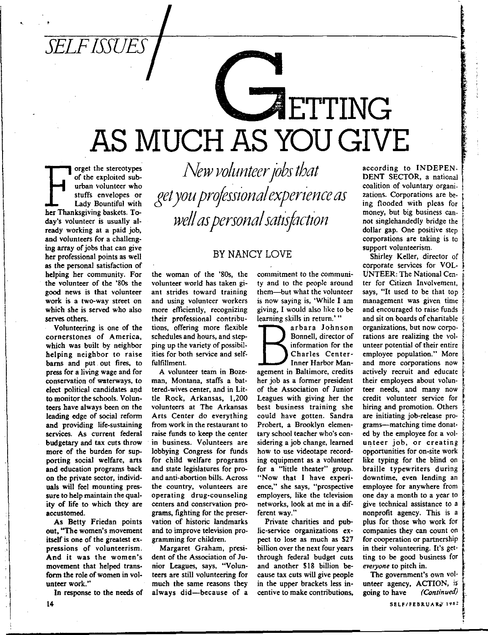

 $\overline{\phantom{a}}$ 

Forget the stereotypes<br>
of the exploited sub-<br>
urban volunteer who<br>
stuffs envelopes or<br>
Lady Bountiful with<br>
her Thanksgiving baskets. Toof the exploited sub**urban volunteer who stuffs envelopes or**  Lady Bountiful with day's volunteer is usually already working at a paid job, and volunteers for a challenging array of jobs that can give her professional points as well **as the personal satisfaction of**  helping her community. For the volunteer of the '80s the **good news is that volunteer work is a two-way street on**  which she is served who also serves others.

Volunteering is one of the **cornerstones of America,**  which was built by neighbor helping neighbor to raise barns and put. out fires, to press for a living wage and for **conservation of waterways, to**  elect political candidates and to monitor the schools. Volunteers have always been on the leading edge of social reform and providing life-sustaining services. As current federal budgetary and tax cuts throw more of the burden for supporting social welfare, arts and education programs back **on the private sector, individ**uals will feel mounting pres**sure to help maintain the qual**ity of life to which they are **accustomed.** 

As Betty Friedan points **out, "The women's movement**  itself is one of the greatest ex**pressions of volunteerism.**  And it was the women's movement that helped trans**form the role of women in volunteer work."** 

In response to the needs of

*New volunteer jobs that get you professional experience as*  $well$  *as personal satisfaction* 

#### BY NANCY LOVE

the woman of the '80s, the **volunteer world has taken giant strides toward training and using volunteer workers more efficiently, recognizing**  their professional contribu**tions, offering more flexible schedules and hours, and step**ping up the variety of possibilities for both service and selffulfillment.

A volunteer team in Boze**man, Montana, staffs a battered-wives center, and in Lit**tle Rock, Arkansas, 1,200 **volunteers at The Arkansas**  Arts Center do everything **from work in the restaurant to raise funds to keep the center in business. Volunteers are**  lobbying Congress for funds for child welfare programs and state legislatures for pro**and anti-abortion bills. Across the country, volunteers are operating drug-counseling centers and conservation pro**grams, fighting for the preservation of historic landmarks **and to improve television pro**gramming for children.

**Margaret Graham, presi**dent of the Association of Ju**nior Leagues, says, "Volunteers are still volunteering for**  much the same reasons they **always** did-because of a **commitment to the communi**ty and to the people around them-but what the volunteer **is now saying is, 'While I am**  giving, I would also like to be **learning skills in return.'** "

arbara Johnson<br>
Bonnell, director of<br>
information for the<br>
Charles Center-<br>
Imner Harbor Man-<br>
agement in Baltimore, credits **arbara Johnson**  Bonnell, director of **information for the**  Charles Center-**Inner Harbor Man**her job as a former president **of the Association of Junior**  Leagues with giving her the **best business training she**  could have gotten. Sandra Probert, a Brooklyn elementary school teacher who's considering a job change, learned **how to use videotape recording equipment as a volunteer**  for a "little theater" group. "Now that I have experi**ence," she says, "prospective employers, like the television networks, look at me in a different way."** 

Private charities and pub**lic-service organizations ex**pect to lose as much as \$27 **billion over the next four years**  through federal budget cuts and another \$18 billion because tax cuts will give people in the upper brackets less in**centive to make contributions,** 

according to INDEPEN-DENT SECTOR, a national **coalition of voluntary organizations. Corporations are be- i**  ing flooded with pleas for money, but big business cannot singlehandedly bridge the dollar gap. One positive step **corporations are taking is to support volunteerism.** 

**ISLE DERECKSION** 

Shirley Keller, director of corporate services for VOL-UNTEER: The National Cen- \_l. **ter for Citizen Involvement,** says, "It used to be that top **management was given time**  and encouraged to raise funds<br>and sit on boards of charitable organizations, but now corpo**rations are realizing the volunteer potential of their entire** { employee population." More and more corporations now actively recruit and educate their employees about volunteer needs, and many now credit volunteer service for hiring and promotion. Others **are initiating job-release pro-** <sup>~</sup> are initiating job-release pro-<br>
grams---matching time donat-<br>
ed by the employee for a vol-<br> **untage is by a constitue unteer job, or creating opportunities for on-site work** like typing for the blind on braille typewriters during **downtime, even lending an**  employee for anywhere from **one day a month to a year to give technical assistance to <sup>a</sup>i**  nonprofit agency. This is a plus for those who work for **companies they can count on**  for cooperation or partnership in their volunteering. It's getting to be good business for *eve,yone* **to pitch in.** 

**The government's own vol·**  unteer agency, ACTION, is<br>going to have (Continued) going to have *(Continuea)* •

l<br>L<br>P<br>P<br>P<br>P<br>P<br>P<br>P<br>P<br>P<br>P<br>P<br>D<br>P<br>D<br>P<br>D<br>P<br>D<br>D<br>D<br>D<br>D<br>D<br>D<br>D<br>D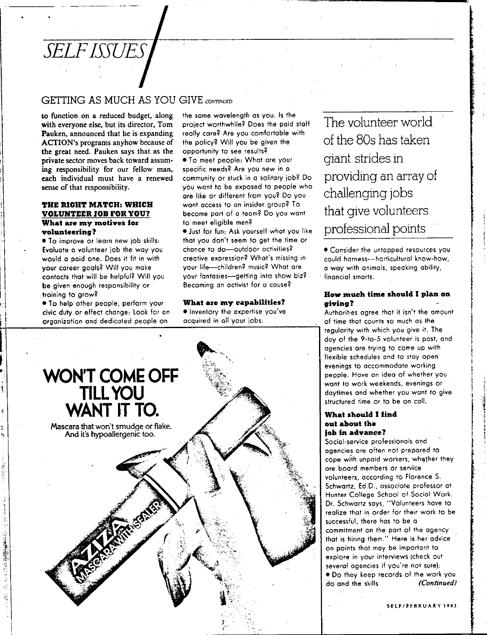## *SELF ISSUES*

#### GETTING AS MUCH AS YOU GIVE *CONTINUED*

to function on a reduced budget, along with everyone else, but its director. Tom Pauken, announced that he is expanding ACTION's programs anyhow because of the great need. Pauken says that as the private sector moves back toward assum~ ing responsibility for our fellow man, each individual must have a renewed sense of that responsibility.

#### **THE RIGHT MATCH: WHICH VOLUNTEER JOB FOR YOU? What are my motives for volunteering?**

• To improve or learn new job skills: Evaluate a volunteer job the way you would a paid one. Does it fit in with your career goals? Will you make contacts that will be helpful? Will you be given enough responsibility or

• To help other people, perform your **What are my capabilities? giving?** 

1.

2012年12月12日 1月1日 1月1日 1月

the some wavelength as you. Is the project worthwhile? Does the paid staff really care? Are you comfortable with the policy? Will you be given the opportunity to see results?

• To meet people: What are your specific needs? Are you new in a community or stuck in a solitary job? Do you want to be exposed to people who ore like or different from you? Do you wont access to an insider group? To become part of a team? Do you want to meet eligible men?

• Just for fun: Ask yourself what you like that you don't seem to get the time or chance to do-outdoor activities? creative expression? What's missing in your life-children? music? What are your fantasies--getting into show biz? Becoming dn activist for a cause?



The volunteer world of the 80s has taken giant strides in providing an array of challenging jobs that give volunteers professional points

• Consider the untapped resources you could harness-horticultural know-how, a way with animals, specking ability, financial smarts.

## training to grow? **How much time should I plan on**

civic duty or effect change: Look for an • Inventory the expertise you've Authorities agree that it isn't the amount organization and dedicated people on acquired in all your jobs. The solution of time that counts so much as the solution of time that counts so much as the sequence of the team of the sequence of the sequence it. The day of the 9-to-5 volunteer is post, and agencies are trying to come up with flexible schedules and to stay open<br>evenings to accommodate working daytimes and whether you want to give structured time or to be on coll.

#### **What should** I find **out about the job in advance?**

Social-service professionals and agencies are often not prepared to cope with unpaid workers, whather they ore. board members or service volunteers, according to Florence S. Schwartz, Ed.D., associate professor at Hunter College School of Social Work. Dr. Schwartz soys, "Volunteers have to realize that in order for their work to be successful, there hos to be a commitment on the port of the agency that is hiring them." Here is her advice on points that may be important to explore in your interviews (check out several agencies if you're not sure): • Do they keep records of the work you do and the skills *(Continued)*